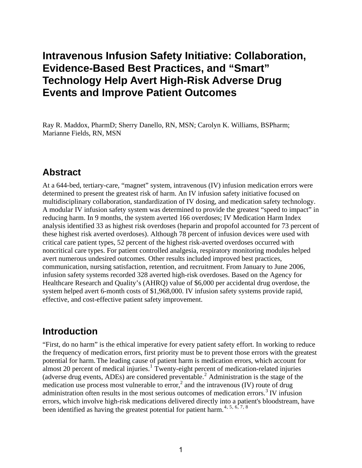# **Intravenous Infusion Safety Initiative: Collaboration, Evidence-Based Best Practices, and "Smart" Technology Help Avert High-Risk Adverse Drug Events and Improve Patient Outcomes**

Ray R. Maddox, PharmD; Sherry Danello, RN, MSN; Carolyn K. Williams, BSPharm; Marianne Fields, RN, MSN

### **Abstract**

At a 644-bed, tertiary-care, "magnet" system, intravenous (IV) infusion medication errors were determined to present the greatest risk of harm. An IV infusion safety initiative focused on multidisciplinary collaboration, standardization of IV dosing, and medication safety technology. A modular IV infusion safety system was determined to provide the greatest "speed to impact" in reducing harm. In 9 months, the system averted 166 overdoses; IV Medication Harm Index analysis identified 33 as highest risk overdoses (heparin and propofol accounted for 73 percent of these highest risk averted overdoses). Although 78 percent of infusion devices were used with critical care patient types, 52 percent of the highest risk-averted overdoses occurred with noncritical care types. For patient controlled analgesia, respiratory monitoring modules helped avert numerous undesired outcomes. Other results included improved best practices, communication, nursing satisfaction, retention, and recruitment. From January to June 2006, infusion safety systems recorded 328 averted high-risk overdoses. Based on the Agency for Healthcare Research and Quality's (AHRQ) value of \$6,000 per accidental drug overdose, the system helped avert 6-month costs of \$1,968,000. IV infusion safety systems provide rapid, effective, and cost-effective patient safety improvement.

## **Introduction**

"First, do no harm" is the ethical imperative for every patient safety effort. In working to reduce the frequency of medication errors, first priority must be to prevent those errors with the greatest potential for harm. The leading cause of patient harm is medication errors, which account for almost 20 percent of medical injuries.<sup>[1](#page-11-0)</sup> Twenty-eight percent of medication-related injuries (adverse drug events, ADEs) are considered preventable.[2](#page-11-1) Administration is the stage of the medication use process most vulnerable to  $error<sup>2</sup>$  and the intravenous (IV) route of drug administration often results in the most serious outcomes of medication errors.<sup>[3](#page-11-1)</sup> IV infusion errors, which involve high-risk medications delivered directly into a patient's bloodstream, have been identified as having the greatest potential for patient harm.<sup>[4](#page-11-1), [5](#page-12-0), [6](#page-12-0), [7](#page-12-0), 8</sup>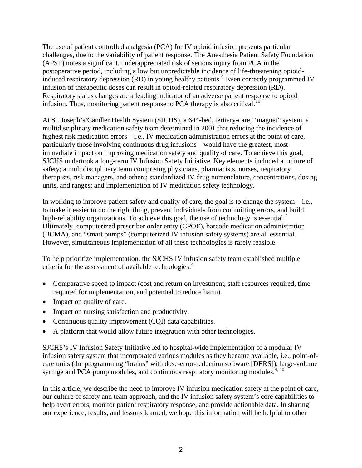The use of patient controlled analgesia (PCA) for IV opioid infusion presents particular challenges, due to the variability of patient response. The Anesthesia Patient Safety Foundation (APSF) notes a significant, underappreciated risk of serious injury from PCA in the postoperative period, including a low but unpredictable incidence of life-threatening opioid-induced respiratory depression (RD) in young healthy patients.<sup>[9](#page-13-0)</sup> Even correctly programmed IV infusion of therapeutic doses can result in opioid-related respiratory depression (RD). Respiratory status changes are a leading indicator of an adverse patient response to opioid infusion. Thus, monitoring patient response to PCA therapy is also critical.<sup>[10](#page-13-0)</sup>

At St. Joseph's/Candler Health System (SJCHS), a 644-bed, tertiary-care, "magnet" system, a multidisciplinary medication safety team determined in 2001 that reducing the incidence of highest risk medication errors—i.e., IV medication administration errors at the point of care, particularly those involving continuous drug infusions—would have the greatest, most immediate impact on improving medication safety and quality of care. To achieve this goal, SJCHS undertook a long-term IV Infusion Safety Initiative. Key elements included a culture of safety; a multidisciplinary team comprising physicians, pharmacists, nurses, respiratory therapists, risk managers, and others; standardized IV drug nomenclature, concentrations, dosing units, and ranges; and implementation of IV medication safety technology.

In working to improve patient safety and quality of care, the goal is to change the system—i.e., to make it easier to do the right thing, prevent individuals from committing errors, and build high-reliability organizations. To achieve this goal, the use of technology is essential.<sup>7</sup> Ultimately, computerized prescriber order entry (CPOE), barcode medication administration (BCMA), and "smart pumps" (computerized IV infusion safety systems) are all essential. However, simultaneous implementation of all these technologies is rarely feasible.

To help prioritize implementation, the SJCHS IV infusion safety team established multiple criteria for the assessment of available technologies:<sup>4</sup>

- Comparative speed to impact (cost and return on investment, staff resources required, time required for implementation, and potential to reduce harm).
- Impact on quality of care.
- Impact on nursing satisfaction and productivity.
- Continuous quality improvement (CQI) data capabilities.
- A platform that would allow future integration with other technologies.

SJCHS's IV Infusion Safety Initiative led to hospital-wide implementation of a modular IV infusion safety system that incorporated various modules as they became available, i.e., point-ofcare units (the programming "brains" with dose-error-reduction software [DERS]), large-volume syringe and PCA pump modules, and continuous respiratory monitoring modules.<sup> $4, 10$ </sup>

In this article, we describe the need to improve IV infusion medication safety at the point of care, our culture of safety and team approach, and the IV infusion safety system's core capabilities to help avert errors, monitor patient respiratory response, and provide actionable data. In sharing our experience, results, and lessons learned, we hope this information will be helpful to other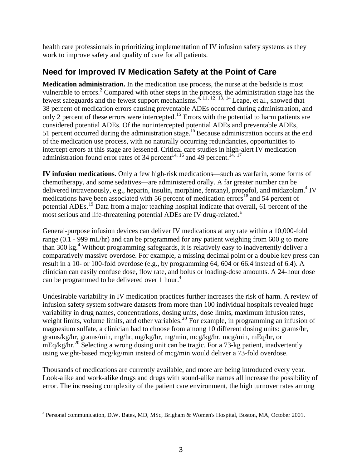health care professionals in prioritizing implementation of IV infusion safety systems as they work to improve safety and quality of care for all patients.

### **Need for Improved IV Medication Safety at the Point of Care**

**Medication administration.** In the medication use process, the nurse at the bedside is most vulnerable to errors.<sup>2</sup> Compared with other steps in the process, the administration stage has the fewest safeguards and the fewest support mechanisms.<sup>4, [11](#page-13-0), [12](#page-13-0), [13](#page-13-0), [14](#page-13-0)</sup> Leape, et al., showed that 38 percent of medication errors causing preventable ADEs occurred during administration, and only 2 percent of these errors were intercepted.<sup>[15](#page-13-0)</sup> Errors with the potential to harm patients are considered potential ADEs. Of the nonintercepted potential ADEs and preventable ADEs, 51 percent occurred during the administration stage.<sup>15</sup> Because administration occurs at the end of the medication use process, with no naturally occurring redundancies, opportunities to intercept errors at this stage are lessened. Critical care studies in high-alert IV medication administration found error rates of 34 percent<sup>14, [16](#page-13-0)</sup> and 49 percent.<sup>14, [17](#page-13-0)</sup>

**IV infusion medications.** Only a few high-risk medications—such as warfarin, some forms of chemotherapy, and some sedatives—are administered orally. A far greater number can be delivered intravenously, e.g., heparin, insulin, morphine, fentanyl, propofol, and midazolam.<sup>4</sup> IV medications have been associated with 56 percent of medication errors<sup>[18](#page-13-0)</sup> and 54 percent of potential ADEs.<sup>[19](#page-13-0)</sup> Data from a major teaching hospital indicate that overall, 61 percent of the most serious [a](#page-2-0)nd life-threatening potential ADEs are IV drug-related.<sup>a</sup>

General-purpose infusion devices can deliver IV medications at any rate within a 10,000-fold range (0.1 - 999 mL/hr) and can be programmed for any patient weighing from 600 g to more than 300 kg.4 Without programming safeguards, it is relatively easy to inadvertently deliver a comparatively massive overdose. For example, a missing decimal point or a double key press can result in a 10- or 100-fold overdose (e.g., by programming 64, 604 or 66.4 instead of 6.4). A clinician can easily confuse dose, flow rate, and bolus or loading-dose amounts. A 24-hour dose can be programmed to be delivered over 1 hour.<sup>4</sup>

Undesirable variability in IV medication practices further increases the risk of harm. A review of infusion safety system software datasets from more than 100 individual hospitals revealed huge variability in drug names, concentrations, dosing units, dose limits, maximum infusion rates, weight limits, volume limits, and other variables.<sup>[20](#page-13-0)</sup> For example, in programming an infusion of magnesium sulfate, a clinician had to choose from among 10 different dosing units: grams/hr, grams/kg/hr, grams/min, mg/hr, mg/kg/hr, mg/min, mcg/kg/hr, mcg/min, mEq/hr, or mEq/kg/hr.<sup>20</sup> Selecting a wrong dosing unit can be tragic. For a 73-kg patient, inadvertently using weight-based mcg/kg/min instead of mcg/min would deliver a 73-fold overdose.

Thousands of medications are currently available, and more are being introduced every year. Look-alike and work-alike drugs and drugs with sound-alike names all increase the possibility of error. The increasing complexity of the patient care environment, the high turnover rates among

<u>.</u>

<span id="page-2-0"></span><sup>&</sup>lt;sup>a</sup> Personal communication, D.W. Bates, MD, MSc, Brigham & Women's Hospital, Boston, MA, October 2001.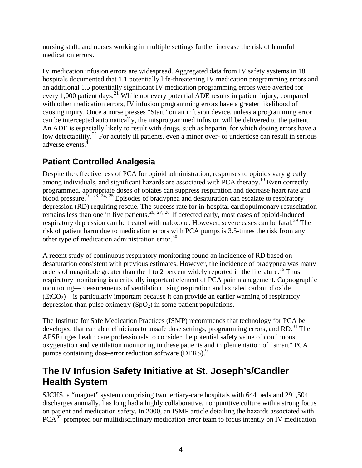nursing staff, and nurses working in multiple settings further increase the risk of harmful medication errors.

IV medication infusion errors are widespread. Aggregated data from IV safety systems in 18 hospitals documented that 1.1 potentially life-threatening IV medication programming errors and an additional 1.5 potentially significant IV medication programming errors were averted for every 1,000 patient days.<sup>[21](#page-13-0)</sup> While not every potential ADE results in patient injury, compared with other medication errors, IV infusion programming errors have a greater likelihood of causing injury. Once a nurse presses "Start" on an infusion device, unless a programming error can be intercepted automatically, the misprogrammed infusion will be delivered to the patient. An ADE is especially likely to result with drugs, such as heparin, for which dosing errors have a low detectability.<sup>22</sup> For acutely ill patients, even a minor over- or underdose can result in serious adverse events.4

## **Patient Controlled Analgesia**

Despite the effectiveness of PCA for opioid administration, responses to opioids vary greatly among individuals, and significant hazards are associated with PCA therapy.<sup>10</sup> Even correctly programmed, appropriate doses of opiates can suppress respiration and decrease heart rate and blood pressure.<sup>10, 23, 24, 25</sup> Episodes of bradypnea and desaturation can escalate to respiratory depression (RD) requiring rescue. The success rate for in-hospital cardiopulmonary resuscitation remains less than one in five patients.<sup>26, 27, 28</sup> If detected early, most cases of opioid-induced respiratory depression can be treated with naloxone. However, severe cases can be fatal.<sup>29</sup> The risk of patient harm due to medication errors with PCA pumps is 3.5-times the risk from any other type of medication administration error.<sup>30</sup>

A recent study of continuous respiratory monitoring found an incidence of RD based on desaturation consistent with previous estimates. However, the incidence of bradypnea was many orders of magnitude greater than the 1 to 2 percent widely reported in the literature.<sup>26</sup> Thus, respiratory monitoring is a critically important element of PCA pain management*.* Capnographic monitoring—measurements of ventilation using respiration and exhaled carbon dioxide  $(EtCO<sub>2</sub>)$ —is particularly important because it can provide an earlier warning of respiratory depression than pulse oximetry  $(SpO<sub>2</sub>)$  in some patient populations.

The Institute for Safe Medication Practices (ISMP) recommends that technology for PCA be developed that can alert clinicians to unsafe dose settings, programming errors, and RD.<sup>31</sup> The APSF urges health care professionals to consider the potential safety value of continuous oxygenation and ventilation monitoring in these patients and implementation of "smart" PCA pumps containing dose-error reduction software (DERS).<sup>9</sup>

## **The IV Infusion Safety Initiative at St. Joseph's/Candler Health System**

SJCHS, a "magnet" system comprising two tertiary-care hospitals with 644 beds and 291,504 discharges annually, has long had a highly collaborative, nonpunitive culture with a strong focus on patient and medication safety. In 2000, an ISMP article detailing the hazards associated with  $PCA^{32}$  prompted our multidisciplinary medication error team to focus intently on IV medication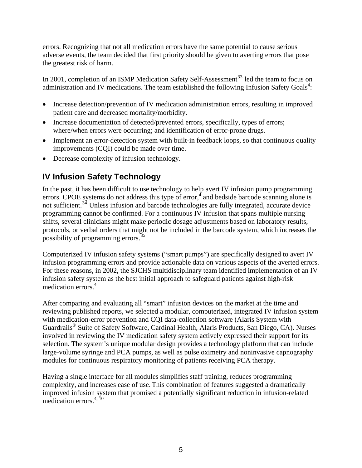errors. Recognizing that not all medication errors have the same potential to cause serious adverse events, the team decided that first priority should be given to averting errors that pose the greatest risk of harm.

In 2001, completion of an ISMP Medication Safety Self-Assessment<sup>33</sup> led the team to focus on administration and IV medications. The team established the following Infusion Safety Goals<sup>4</sup>:

- Increase detection/prevention of IV medication administration errors, resulting in improved patient care and decreased mortality/morbidity.
- Increase documentation of detected/prevented errors, specifically, types of errors; where/when errors were occurring; and identification of error-prone drugs.
- Implement an error-detection system with built-in feedback loops, so that continuous quality improvements (CQI) could be made over time.
- Decrease complexity of infusion technology.

## **IV Infusion Safety Technology**

In the past, it has been difficult to use technology to help avert IV infusion pump programming errors. CPOE systems do not address this type of error,<sup>4</sup> and bedside barcode scanning alone is not sufficient.<sup>34</sup> Unless infusion and barcode technologies are fully integrated, accurate device programming cannot be confirmed. For a continuous IV infusion that spans multiple nursing shifts, several clinicians might make periodic dosage adjustments based on laboratory results, protocols, or verbal orders that might not be included in the barcode system, which increases the possibility of programming errors.<sup>35</sup>

Computerized IV infusion safety systems ("smart pumps") are specifically designed to avert IV infusion programming errors and provide actionable data on various aspects of the averted errors. For these reasons, in 2002, the SJCHS multidisciplinary team identified implementation of an IV infusion safety system as the best initial approach to safeguard patients against high-risk medication errors.<sup>4</sup>

After comparing and evaluating all "smart" infusion devices on the market at the time and reviewing published reports, we selected a modular, computerized, integrated IV infusion system with medication-error prevention and CQI data-collection software (Alaris System with Guardrails® Suite of Safety Software, Cardinal Health, Alaris Products, San Diego, CA). Nurses involved in reviewing the IV medication safety system actively expressed their support for its selection. The system's unique modular design provides a technology platform that can include large-volume syringe and PCA pumps, as well as pulse oximetry and noninvasive capnography modules for continuous respiratory monitoring of patients receiving PCA therapy.

Having a single interface for all modules simplifies staff training, reduces programming complexity, and increases ease of use. This combination of features suggested a dramatically improved infusion system that promised a potentially significant reduction in infusion-related medication errors. $4, 10$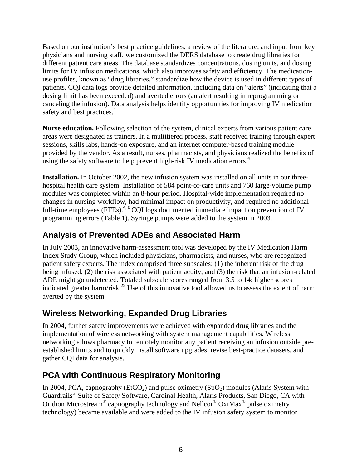Based on our institution's best practice guidelines, a review of the literature, and input from key physicians and nursing staff, we customized the DERS database to create drug libraries for different patient care areas. The database standardizes concentrations, dosing units, and dosing limits for IV infusion medications, which also improves safety and efficiency. The medicationuse profiles, known as "drug libraries," standardize how the device is used in different types of patients. CQI data logs provide detailed information, including data on "alerts" (indicating that a dosing limit has been exceeded) and averted errors (an alert resulting in reprogramming or canceling the infusion). Data analysis helps identify opportunities for improving IV medication safety and best practices.<sup>4</sup>

**Nurse education.** Following selection of the system, clinical experts from various patient care areas were designated as trainers. In a multitiered process, staff received training through expert sessions, skills labs, hands-on exposure, and an internet computer-based training module provided by the vendor. As a result, nurses, pharmacists, and physicians realized the benefits of using the safety software to help prevent high-risk IV medication errors.<sup>4</sup>

**Installation.** In October 2002, the new infusion system was installed on all units in our threehospital health care system. Installation of 584 point-of-care units and 760 large-volume pump modules was completed within an 8-hour period. Hospital-wide implementation required no changes in nursing workflow, had minimal impact on productivity, and required no additional full-time employees (FTEs).<sup>4, 8</sup> CQI logs documented immediate impact on prevention of IV programming errors (Table 1). Syringe pumps were added to the system in 2003.

### **Analysis of Prevented ADEs and Associated Harm**

In July 2003, an innovative harm-assessment tool was developed by the IV Medication Harm Index Study Group, which included physicians, pharmacists, and nurses, who are recognized patient safety experts. The index comprised three subscales: (1) the inherent risk of the drug being infused, (2) the risk associated with patient acuity, and (3) the risk that an infusion-related ADE might go undetected. Totaled subscale scores ranged from 3.5 to 14; higher scores indicated greater harm/risk.<sup>22</sup> Use of this innovative tool allowed us to assess the extent of harm averted by the system.

### **Wireless Networking, Expanded Drug Libraries**

In 2004, further safety improvements were achieved with expanded drug libraries and the implementation of wireless networking with system management capabilities. Wireless networking allows pharmacy to remotely monitor any patient receiving an infusion outside preestablished limits and to quickly install software upgrades, revise best-practice datasets, and gather CQI data for analysis.

### **PCA with Continuous Respiratory Monitoring**

In 2004, PCA, capnography (EtCO<sub>2</sub>) and pulse oximetry (SpO<sub>2</sub>) modules (Alaris System with Guardrails® Suite of Safety Software, Cardinal Health, Alaris Products, San Diego, CA with Oridion Microstream® capnography technology and Nellcor® OxiMax® pulse oximetry technology) became available and were added to the IV infusion safety system to monitor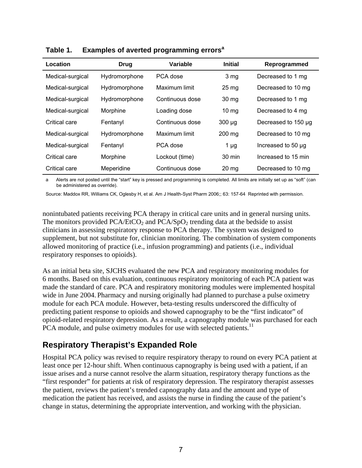| Location         | <b>Drug</b>   | <b>Variable</b> | <b>Initial</b>   | Reprogrammed        |
|------------------|---------------|-----------------|------------------|---------------------|
| Medical-surgical | Hydromorphone | PCA dose        | 3 <sub>mg</sub>  | Decreased to 1 mg   |
| Medical-surgical | Hydromorphone | Maximum limit   | 25 <sub>mg</sub> | Decreased to 10 mg  |
| Medical-surgical | Hydromorphone | Continuous dose | 30 mg            | Decreased to 1 mg   |
| Medical-surgical | Morphine      | Loading dose    | $10 \text{ mg}$  | Decreased to 4 mg   |
| Critical care    | Fentanyl      | Continuous dose | $300 \mu g$      | Decreased to 150 µg |
| Medical-surgical | Hydromorphone | Maximum limit   | $200$ mg         | Decreased to 10 mg  |
| Medical-surgical | Fentanyl      | PCA dose        | $1 \mu g$        | Increased to 50 µg  |
| Critical care    | Morphine      | Lockout (time)  | $30 \text{ min}$ | Increased to 15 min |
| Critical care    | Meperidine    | Continuous dose | $20 \text{ mg}$  | Decreased to 10 mg  |

**Table 1. Examples of averted programming errors<sup>a</sup>**

Alerts are not posted until the "start" key is pressed and programming is completed. All limits are initially set up as "soft" (can be administered as override).

Source: Maddox RR, Williams CK, Oglesby H, et al. Am J Health-Syst Pharm 2006;; 63: 157-64 Reprinted with permission.

nonintubated patients receiving PCA therapy in critical care units and in general nursing units. The monitors provided  $PCA/EtCO<sub>2</sub>$  and  $PCA/SpO<sub>2</sub>$  trending data at the bedside to assist clinicians in assessing respiratory response to PCA therapy. The system was designed to supplement, but not substitute for, clinician monitoring. The combination of system components allowed monitoring of practice (i.e., infusion programming) and patients (i.e., individual respiratory responses to opioids).

As an initial beta site, SJCHS evaluated the new PCA and respiratory monitoring modules for 6 months. Based on this evaluation, continuous respiratory monitoring of each PCA patient was made the standard of care. PCA and respiratory monitoring modules were implemented hospital wide in June 2004. Pharmacy and nursing originally had planned to purchase a pulse oximetry module for each PCA module. However, beta-testing results underscored the difficulty of predicting patient response to opioids and showed capnography to be the "first indicator" of opioid-related respiratory depression. As a result, a capnography module was purchased for each PCA module, and pulse oximetry modules for use with selected patients.<sup>11</sup>

#### **Respiratory Therapist's Expanded Role**

Hospital PCA policy was revised to require respiratory therapy to round on every PCA patient at least once per 12-hour shift. When continuous capnography is being used with a patient, if an issue arises and a nurse cannot resolve the alarm situation, respiratory therapy functions as the "first responder" for patients at risk of respiratory depression. The respiratory therapist assesses the patient, reviews the patient's trended capnography data and the amount and type of medication the patient has received, and assists the nurse in finding the cause of the patient's change in status, determining the appropriate intervention, and working with the physician.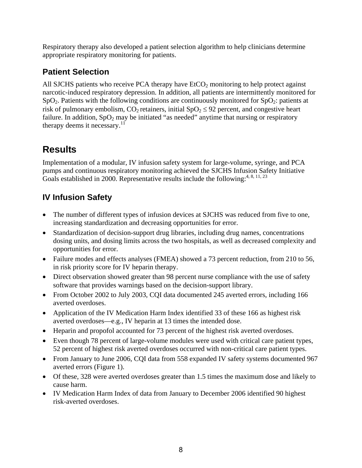Respiratory therapy also developed a patient selection algorithm to help clinicians determine appropriate respiratory monitoring for patients.

## **Patient Selection**

All SJCHS patients who receive PCA therapy have  $ECO<sub>2</sub>$  monitoring to help protect against narcotic-induced respiratory depression. In addition, all patients are intermittently monitored for  $SpO<sub>2</sub>$ . Patients with the following conditions are continuously monitored for  $SpO<sub>2</sub>$ : patients at risk of pulmonary embolism,  $CO_2$  retainers, initial  $SpO_2 \leq 92$  percent, and congestive heart failure. In addition,  $SpO<sub>2</sub>$  may be initiated "as needed" anytime that nursing or respiratory therapy deems it necessary. $11^{\circ}$ 

## **Results**

Implementation of a modular, IV infusion safety system for large-volume, syringe, and PCA pumps and continuous respiratory monitoring achieved the SJCHS Infusion Safety Initiative Goals established in 2000. Representative results include the following:<sup>4, 8, 11, 23</sup>

## **IV Infusion Safety**

- The number of different types of infusion devices at SJCHS was reduced from five to one, increasing standardization and decreasing opportunities for error.
- Standardization of decision-support drug libraries, including drug names, concentrations dosing units, and dosing limits across the two hospitals, as well as decreased complexity and opportunities for error.
- Failure modes and effects analyses (FMEA) showed a 73 percent reduction, from 210 to 56, in risk priority score for IV heparin therapy.
- Direct observation showed greater than 98 percent nurse compliance with the use of safety software that provides warnings based on the decision-support library.
- From October 2002 to July 2003, CQI data documented 245 averted errors, including 166 averted overdoses.
- Application of the IV Medication Harm Index identified 33 of these 166 as highest risk averted overdoses—e.g., IV heparin at 13 times the intended dose.
- Heparin and propofol accounted for 73 percent of the highest risk averted overdoses.
- Even though 78 percent of large-volume modules were used with critical care patient types, 52 percent of highest risk averted overdoses occurred with non-critical care patient types.
- From January to June 2006, CQI data from 558 expanded IV safety systems documented 967 averted errors (Figure 1).
- Of these, 328 were averted overdoses greater than 1.5 times the maximum dose and likely to cause harm.
- IV Medication Harm Index of data from January to December 2006 identified 90 highest risk-averted overdoses.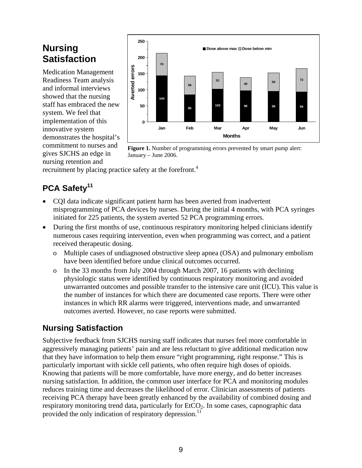## **Nursing Satisfaction**

Medication Management Readiness Team analysis and informal interviews showed that the nursing staff has embraced the new system. We feel that implementation of this innovative system demonstrates the hospital's commitment to nurses and gives SJCHS an edge in nursing retention and



**Figure 1.** Number of programming errors prevented by smart pump alert: January – June 2006.

recruitment by placing practice safety at the forefront.<sup>4</sup>

## PCA Safety<sup>11</sup>

- CQI data indicate significant patient harm has been averted from inadvertent misprogramming of PCA devices by nurses. During the initial 4 months, with PCA syringes initiated for 225 patients, the system averted 52 PCA programming errors.
- During the first months of use, continuous respiratory monitoring helped clinicians identify numerous cases requiring intervention, even when programming was correct, and a patient received therapeutic dosing.
	- o Multiple cases of undiagnosed obstructive sleep apnea (OSA) and pulmonary embolism have been identified before undue clinical outcomes occurred.
	- o In the 33 months from July 2004 through March 2007, 16 patients with declining physiologic status were identified by continuous respiratory monitoring and avoided unwarranted outcomes and possible transfer to the intensive care unit (ICU). This value is the number of instances for which there are documented case reports. There were other instances in which RR alarms were triggered, interventions made, and unwarranted outcomes averted. However, no case reports were submitted.

## **Nursing Satisfaction**

Subjective feedback from SJCHS nursing staff indicates that nurses feel more comfortable in aggressively managing patients' pain and are less reluctant to give additional medication now that they have information to help them ensure "right programming, right response." This is particularly important with sickle cell patients, who often require high doses of opioids. Knowing that patients will be more comfortable, have more energy, and do better increases nursing satisfaction. In addition, the common user interface for PCA and monitoring modules reduces training time and decreases the likelihood of error. Clinician assessments of patients receiving PCA therapy have been greatly enhanced by the availability of combined dosing and respiratory monitoring trend data, particularly for  $ECO<sub>2</sub>$ . In some cases, capnographic data provided the only indication of respiratory depression.<sup>11</sup>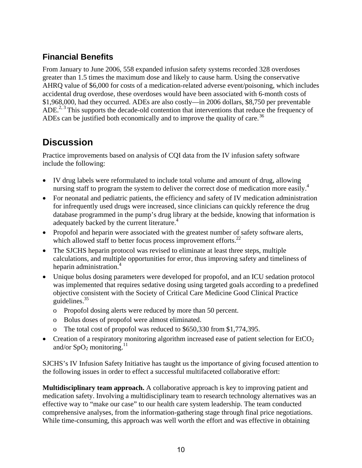### **Financial Benefits**

From January to June 2006, 558 expanded infusion safety systems recorded 328 overdoses greater than 1.5 times the maximum dose and likely to cause harm. Using the conservative AHRQ value of \$6,000 for costs of a medication-related adverse event/poisoning, which includes accidental drug overdose, these overdoses would have been associated with 6-month costs of \$1,968,000, had they occurred. ADEs are also costly—in 2006 dollars, \$8,750 per preventable ADE.<sup>2, 3</sup> This supports the decade-old contention that interventions that reduce the frequency of ADEs can be justified both economically and to improve the quality of care.<sup>36</sup>

## **Discussion**

Practice improvements based on analysis of CQI data from the IV infusion safety software include the following:

- IV drug labels were reformulated to include total volume and amount of drug, allowing nursing staff to program the system to deliver the correct dose of medication more easily.<sup>4</sup>
- For neonatal and pediatric patients, the efficiency and safety of IV medication administration for infrequently used drugs were increased, since clinicians can quickly reference the drug database programmed in the pump's drug library at the bedside, knowing that information is adequately backed by the current literature.<sup>4</sup>
- Propofol and heparin were associated with the greatest number of safety software alerts, which allowed staff to better focus process improvement efforts. $^{22}$
- The SJCHS heparin protocol was revised to eliminate at least three steps, multiple calculations, and multiple opportunities for error, thus improving safety and timeliness of heparin administration.<sup>4</sup>
- Unique bolus dosing parameters were developed for propofol, and an ICU sedation protocol was implemented that requires sedative dosing using targeted goals according to a predefined objective consistent with the Society of Critical Care Medicine Good Clinical Practice guidelines.35
	- o Propofol dosing alerts were reduced by more than 50 percent.
	- o Bolus doses of propofol were almost eliminated.
	- o The total cost of propofol was reduced to \$650,330 from \$1,774,395.
- Creation of a respiratory monitoring algorithm increased ease of patient selection for  $EtCO<sub>2</sub>$ and/or  $SpO<sub>2</sub>$  monitoring.<sup>11</sup>

SJCHS's IV Infusion Safety Initiative has taught us the importance of giving focused attention to the following issues in order to effect a successful multifaceted collaborative effort:

**Multidisciplinary team approach.** A collaborative approach is key to improving patient and medication safety. Involving a multidisciplinary team to research technology alternatives was an effective way to "make our case" to our health care system leadership. The team conducted comprehensive analyses, from the information-gathering stage through final price negotiations. While time-consuming, this approach was well worth the effort and was effective in obtaining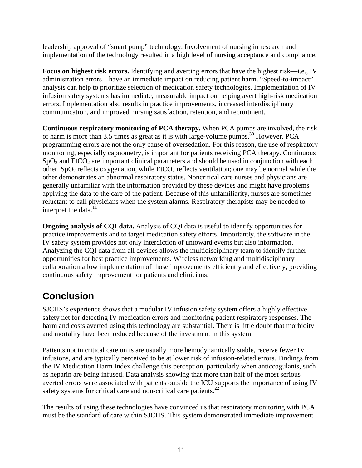leadership approval of "smart pump" technology. Involvement of nursing in research and implementation of the technology resulted in a high level of nursing acceptance and compliance.

**Focus on highest risk errors.** Identifying and averting errors that have the highest risk—i.e., IV administration errors—have an immediate impact on reducing patient harm. "Speed-to-impact" analysis can help to prioritize selection of medication safety technologies. Implementation of IV infusion safety systems has immediate, measurable impact on helping avert high-risk medication errors. Implementation also results in practice improvements, increased interdisciplinary communication, and improved nursing satisfaction, retention, and recruitment.

**Continuous respiratory monitoring of PCA therapy.** When PCA pumps are involved, the risk of harm is more than 3.5 times as great as it is with large-volume pumps.<sup>30</sup> However, PCA programming errors are not the only cause of oversedation. For this reason, the use of respiratory monitoring, especially capnometry, is important for patients receiving PCA therapy. Continuous  $SpO<sub>2</sub>$  and EtCO<sub>2</sub> are important clinical parameters and should be used in conjunction with each other. SpO<sub>2</sub> reflects oxygenation, while  $E(CO<sub>2</sub>$  reflects ventilation; one may be normal while the other demonstrates an abnormal respiratory status. Noncritical care nurses and physicians are generally unfamiliar with the information provided by these devices and might have problems applying the data to the care of the patient. Because of this unfamiliarity, nurses are sometimes reluctant to call physicians when the system alarms. Respiratory therapists may be needed to interpret the data.<sup>11</sup>

**Ongoing analysis of CQI data.** Analysis of CQI data is useful to identify opportunities for practice improvements and to target medication safety efforts. Importantly, the software in the IV safety system provides not only interdiction of untoward events but also information. Analyzing the CQI data from all devices allows the multidisciplinary team to identify further opportunities for best practice improvements. Wireless networking and multidisciplinary collaboration allow implementation of those improvements efficiently and effectively, providing continuous safety improvement for patients and clinicians.

## **Conclusion**

SJCHS's experience shows that a modular IV infusion safety system offers a highly effective safety net for detecting IV medication errors and monitoring patient respiratory responses. The harm and costs averted using this technology are substantial. There is little doubt that morbidity and mortality have been reduced because of the investment in this system.

Patients not in critical care units are usually more hemodynamically stable, receive fewer IV infusions, and are typically perceived to be at lower risk of infusion-related errors. Findings from the IV Medication Harm Index challenge this perception, particularly when anticoagulants, such as heparin are being infused. Data analysis showing that more than half of the most serious averted errors were associated with patients outside the ICU supports the importance of using IV safety systems for critical care and non-critical care patients.<sup>22</sup>

The results of using these technologies have convinced us that respiratory monitoring with PCA must be the standard of care within SJCHS. This system demonstrated immediate improvement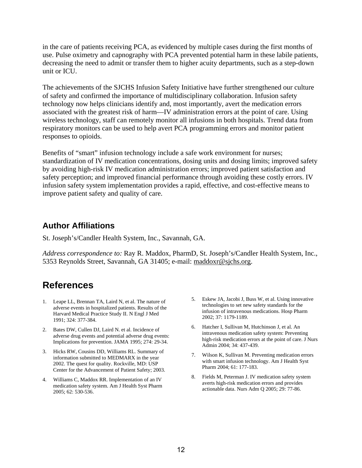<span id="page-11-1"></span>in the care of patients receiving PCA, as evidenced by multiple cases during the first months of use. Pulse oximetry and capnography with PCA prevented potential harm in these labile patients, decreasing the need to admit or transfer them to higher acuity departments, such as a step-down unit or ICU.

The achievements of the SJCHS Infusion Safety Initiative have further strengthened our culture of safety and confirmed the importance of multidisciplinary collaboration. Infusion safety technology now helps clinicians identify and, most importantly, avert the medication errors associated with the greatest risk of harm—IV administration errors at the point of care. Using wireless technology, staff can remotely monitor all infusions in both hospitals. Trend data from respiratory monitors can be used to help avert PCA programming errors and monitor patient responses to opioids.

Benefits of "smart" infusion technology include a safe work environment for nurses; standardization of IV medication concentrations, dosing units and dosing limits; improved safety by avoiding high-risk IV medication administration errors; improved patient satisfaction and safety perception; and improved financial performance through avoiding these costly errors. IV infusion safety system implementation provides a rapid, effective, and cost-effective means to improve patient safety and quality of care.

#### **Author Affiliations**

St. Joseph's/Candler Health System, Inc., Savannah, GA.

*Address correspondence to:* Ray R. Maddox, PharmD, St. Joseph's/Candler Health System, Inc., 5353 Reynolds Street, Savannah, GA 31405; e-mail: [maddoxr@sjchs.org](mailto:maddoxr@sjchs.org).

## **References**

- <span id="page-11-0"></span>1. Leape LL, Brennan TA, Laird N, et al. The nature of adverse events in hospitalized patients. Results of the Harvard Medical Practice Study II. N Engl J Med 1991; 324: 377-384.
- 2. Bates DW, Cullen DJ, Laird N. et al. Incidence of adverse drug events and potential adverse drug events: Implications for prevention. JAMA 1995; 274: 29-34.
- 3. Hicks RW, Cousins DD, Williams RL. Summary of information submitted to MEDMARX in the year 2002. The quest for quality. Rockville, MD: USP Center for the Advancement of Patient Safety; 2003.
- 4. Williams C, Maddox RR. Implementation of an IV medication safety system. Am J Health Syst Pharm 2005; 62: 530-536.
- 5. Eskew JA, Jacobi J, Buss W, et al. Using innovative technologies to set new safety standards for the infusion of intravenous medications. Hosp Pharm 2002; 37: 1179-1189.
- 6. Hatcher I, Sullivan M, Hutchinson J, et al. An intravenous medication safety system: Preventing high-risk medication errors at the point of care. J Nurs Admin 2004; 34: 437-439.
- 7. Wilson K, Sullivan M. Preventing medication errors with smart infusion technology. Am J Health Syst Pharm 2004; 61: 177-183.
- 8. Fields M, Peterman J. IV medication safety system averts high-risk medication errors and provides actionable data. Nurs Adm Q 2005; 29: 77-86.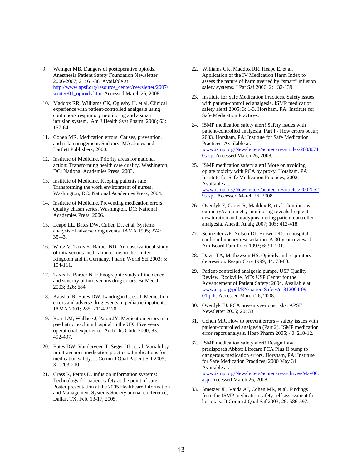- <span id="page-12-0"></span>9. Weinger MB. Dangers of postoperative opioids. Anesthesia Patient Safety Foundation Newsletter 2006-2007; 21: 61-88. Available at: [http://www.apsf.org/resource\\_center/newsletter/2007/](http://www.apsf.org/resource_center/newsletter/2007/winter/01_opioids.htm) [winter/01\\_opioids.htm.](http://www.apsf.org/resource_center/newsletter/2007/winter/01_opioids.htm) Accessed March 26, 2008.
- 10. Maddox RR, Williams CK, Oglesby H, et al. Clinical experience with patient-controlled analgesia using continuous respiratory monitoring and a smart infusion system. Am J Health Syst Pharm 2006; 63: 157-64.
- 11. Cohen MR. Medication errors: Causes, prevention, and risk management. Sudbury, MA: Jones and Bartlett Publishers; 2000.
- 12. Institute of Medicine. Priority areas for national action: Transforming health care quality. Washington, DC: National Academies Press; 2003.
- 13. Institute of Medicine. Keeping patients safe: Transforming the work environment of nurses. Washington, DC: National Academies Press; 2004.
- 14. Institute of Medicine. Preventing medication errors: Quality chasm series. Washington, DC: National Academies Press; 2006.
- 15. Leape LL, Bates DW, Cullen DJ, et al. Systems analysis of adverse drug events. JAMA 1995; 274: 35-43.
- 16. Wirtz V, Taxis K, Barber ND. An observational study of intravenous medication errors in the United Kingdom and in Germany. Pharm World Sci 2003; 5: 104-111.
- 17. Taxis K, Barber N. Ethnographic study of incidence and severity of intravenous drug errors. Br Med J 2003; 326: 684.
- 18. Kaushal R, Bates DW, Landrigan C, et al. Medication errors and adverse drug events in pediatric inpatients. JAMA 2001; 285: 2114-2120.
- 19. Ross LM, Wallace J, Paton JY. Medication errors in a paediatric teaching hospital in the UK: Five years operational experience. Arch Dis Child 2000; 83: 492-497.
- 20. Bates DW, Vanderveen T, Seger DL, et al. Variability in intravenous medication practices: Implications for medication safety. Jt Comm J Qual Patient Saf 2005; 31: 203-210.
- 21. Crass R, Pettus D. Infusion information systems: Technology for patient safety at the point of care. Poster presentation at the 2005 Healthcare Information and Management Systems Society annual conference, Dallas, TX, Feb. 13-17, 2005.
- 22. Williams CK, Maddox RR, Heape E, et al. Application of the IV Medication Harm Index to assess the nature of harm averted by "smart" infusion safety systems. J Pat Saf 2006; 2: 132-139.
- 23. Institute for Safe Medication Practices. Safety issues with patient-controlled analgesia. ISMP medication safety alert! 2005; 3: 1-3. Horsham, PA: Institute for Safe Medication Practices.
- 24. ISMP medication safety alert! Safety issues with patient-controlled analgesia. Part I - How errors occur; 2003. Horsham, PA: Institute for Safe Medication Practices. Available at: [www.ismp.org/Newsletters/acutecare/articles/2003071](http://www.ismp.org/Newsletters/acutecare/articles/20030710.asp) [0.asp.](http://www.ismp.org/Newsletters/acutecare/articles/20030710.asp) Accessed March 26, 2008.
- 25. ISMP medication safety alert! More on avoiding opiate toxicity with PCA by proxy. Horsham, PA: Institute for Safe Medication Practices; 2002. Available at: [www.ismp.org/Newsletters/acutecare/articles/2002052](http://www.ismp.org/Newsletters/acutecare/articles/20020529.asp) [9.asp.](http://www.ismp.org/Newsletters/acutecare/articles/20020529.asp) Accessed March 26, 2008.
- 26. Overdyk F, Carter R, Maddox R, et al. Continuous oximetry/capnometry monitoring reveals frequent desaturation and bradypnea during patient controlled analgesia. Anesth Analg 2007; 105: 412-418.
- 27. Schneider AP, Nelson DJ, Brown DD. In-hospital cardiopulmonary resuscitation: A 30-year review. J Am Board Fam Pract 1993; 6: 91-101.
- 28. Davis TA, Mathewson HS. Opioids and respiratory depression. Respir Care 1999; 44: 78-80.
- 29. Patient-controlled analgesia pumps. USP Quality Review. Rockville, MD: USP Center for the Advancement of Patient Safety; 2004. Available at: [www.usp.org/pdf/EN/patientSafety/qr812004-09-](http://www.usp.org/pdf/EN/patientSafety/qr812004-09-01.pdf) [01.pdf](http://www.usp.org/pdf/EN/patientSafety/qr812004-09-01.pdf). Accessed March 26, 2008.
- 30. Overdyk FJ. PCA presents serious risks. APSF Newsletter 2005; 20: 33.
- 31. Cohen MR. How to prevent errors safety issues with patient-controlled analgesia (Part 2). ISMP medication error report analysis. Hosp Pharm 2005; 40: 210-12.
- 32. ISMP medication safety alert! Design flaw predisposes Abbott Lifecare PCA Plus II pump to dangerous medication errors. Horsham, PA: Institute for Safe Medication Practices; 2000 May 31. Available at: [www.ismp.org/Newsletters/acutecare/archives/May00.](http://www.ismp.org/Newsletters/acutecare/archives/May00.asp) [asp](http://www.ismp.org/Newsletters/acutecare/archives/May00.asp). Accessed March 26, 2008.
- 33. Smetzer JL, Vaida AJ, Cohen MR, et al. Findings from the ISMP medication safety self-assessment for hospitals. Jt Comm J Qual Saf 2003; 29: 586-597.